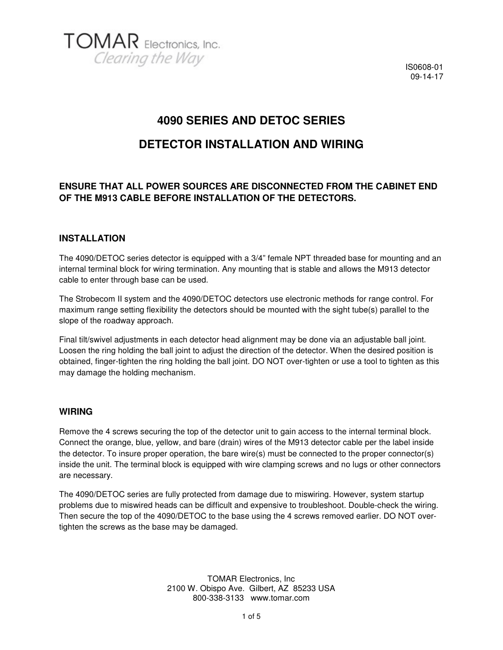

### **4090 SERIES AND DETOC SERIES**

### **DETECTOR INSTALLATION AND WIRING**

#### **ENSURE THAT ALL POWER SOURCES ARE DISCONNECTED FROM THE CABINET END OF THE M913 CABLE BEFORE INSTALLATION OF THE DETECTORS.**

#### **INSTALLATION**

The 4090/DETOC series detector is equipped with a 3/4" female NPT threaded base for mounting and an internal terminal block for wiring termination. Any mounting that is stable and allows the M913 detector cable to enter through base can be used.

The Strobecom II system and the 4090/DETOC detectors use electronic methods for range control. For maximum range setting flexibility the detectors should be mounted with the sight tube(s) parallel to the slope of the roadway approach.

Final tilt/swivel adjustments in each detector head alignment may be done via an adjustable ball joint. Loosen the ring holding the ball joint to adjust the direction of the detector. When the desired position is obtained, finger-tighten the ring holding the ball joint. DO NOT over-tighten or use a tool to tighten as this may damage the holding mechanism.

#### **WIRING**

Remove the 4 screws securing the top of the detector unit to gain access to the internal terminal block. Connect the orange, blue, yellow, and bare (drain) wires of the M913 detector cable per the label inside the detector. To insure proper operation, the bare wire(s) must be connected to the proper connector(s) inside the unit. The terminal block is equipped with wire clamping screws and no lugs or other connectors are necessary.

The 4090/DETOC series are fully protected from damage due to miswiring. However, system startup problems due to miswired heads can be difficult and expensive to troubleshoot. Double-check the wiring. Then secure the top of the 4090/DETOC to the base using the 4 screws removed earlier. DO NOT overtighten the screws as the base may be damaged.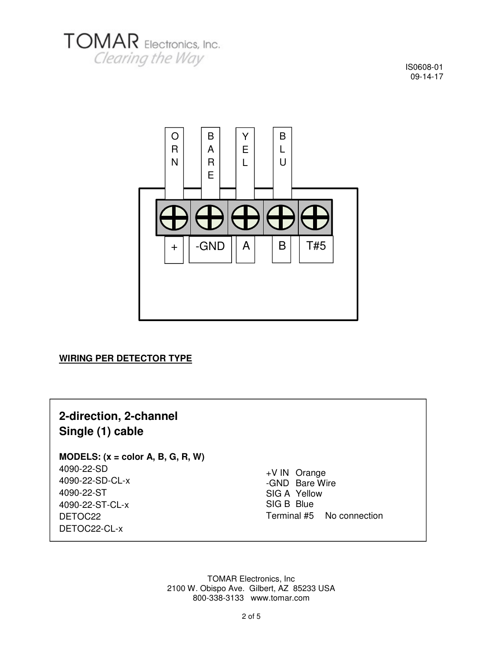



#### **WIRING PER DETECTOR TYPE**

# **2-direction, 2-channel Single (1) cable**

#### **MODELS: (x = color A, B, G, R, W)**

4090-22-SD 4090-22-SD-CL-x 4090-22-ST 4090-22-ST-CL-x DETOC22 DETOC22-CL-x

+V IN Orange -GND Bare Wire SIG A Yellow SIG B Blue Terminal #5 No connection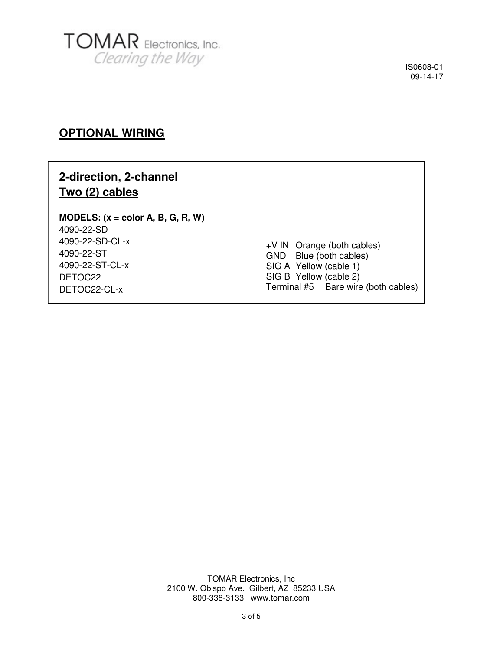

### **OPTIONAL WIRING**

## **2-direction, 2-channel Two (2) cables**

#### **MODELS: (x = color A, B, G, R, W)**  4090-22-SD 4090-22-SD-CL-x 4090-22-ST 4090-22-ST-CL-x DETOC22 DETOC22-CL-x

+V IN Orange (both cables) GND Blue (both cables) SIG A Yellow (cable 1) SIG B Yellow (cable 2) Terminal #5 Bare wire (both cables)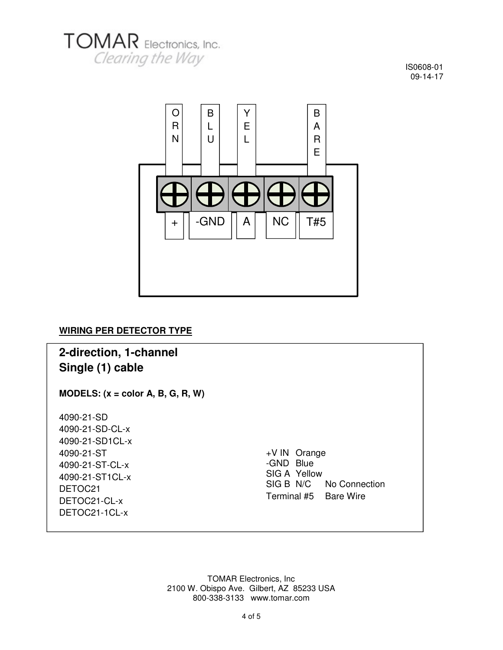



### **WIRING PER DETECTOR TYPE**

## **2-direction, 1-channel Single (1) cable**

**MODELS: (x = color A, B, G, R, W)** 

4090-21-SD 4090-21-SD-CL-x 4090-21-SD1CL-x 4090-21-ST 4090-21-ST-CL-x 4090-21-ST1CL-x DETOC21 DETOC21-CL-x DETOC21-1CL-x

+V IN Orange -GND Blue SIG A Yellow<br>SIG B N/C No Connection Terminal #5 Bare Wire